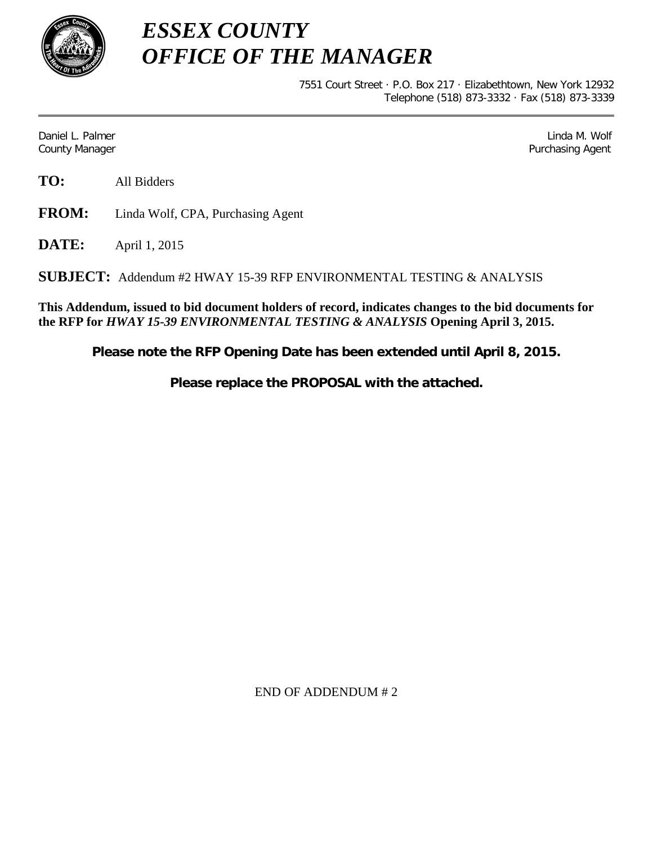

*ESSEX COUNTY OFFICE OF THE MANAGER*

> 7551 Court Street · P.O. Box 217 · Elizabethtown, New York 12932 Telephone (518) 873-3332 · Fax (518) 873-3339

Daniel L. Palmer Later and the control of the control of the control of the control of the control of the control of the control of the control of the control of the control of the control of the control of the control of County Manager Purchasing Agent

**TO:** All Bidders

**FROM:** Linda Wolf, CPA, Purchasing Agent

**DATE:** April 1, 2015

**SUBJECT:** Addendum #2 HWAY 15-39 RFP ENVIRONMENTAL TESTING & ANALYSIS

**This Addendum, issued to bid document holders of record, indicates changes to the bid documents for the RFP for** *HWAY 15-39 ENVIRONMENTAL TESTING & ANALYSIS* **Opening April 3, 2015.**

**Please note the RFP Opening Date has been extended until April 8, 2015.**

**Please replace the PROPOSAL with the attached.**

END OF ADDENDUM # 2